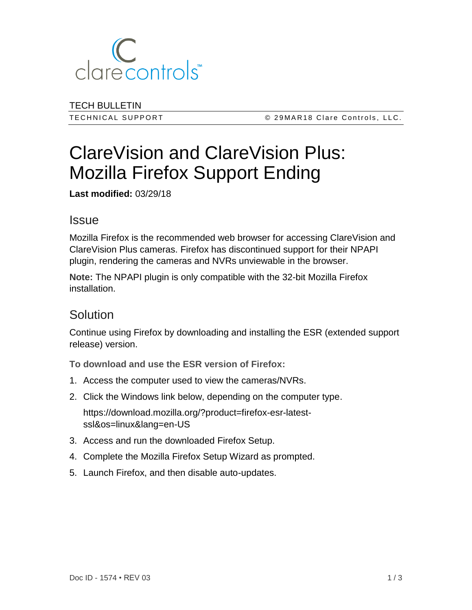

TECH BULLETIN

T E C H N I C A L S U P P O R T © 2 9 M A R 1 8 C l a r e C o n t r o l s , L L C .

# ClareVision and ClareVision Plus: Mozilla Firefox Support Ending

**Last modified:** 03/29/18

#### **Issue**

Mozilla Firefox is the recommended web browser for accessing ClareVision and ClareVision Plus cameras. Firefox has discontinued support for their NPAPI plugin, rendering the cameras and NVRs unviewable in the browser.

**Note:** The NPAPI plugin is only compatible with the 32-bit Mozilla Firefox installation.

## **Solution**

Continue using Firefox by downloading and installing the ESR (extended support release) version.

**To download and use the ESR version of Firefox:**

- 1. Access the computer used to view the cameras/NVRs.
- 2. Click the Windows link below, depending on the computer type.

https://download.mozilla.org/?product=firefox-esr-latestssl&os=linux&lang=en-US

- 3. Access and run the downloaded Firefox Setup.
- 4. Complete the Mozilla Firefox Setup Wizard as prompted.
- 5. Launch Firefox, and then disable auto-updates.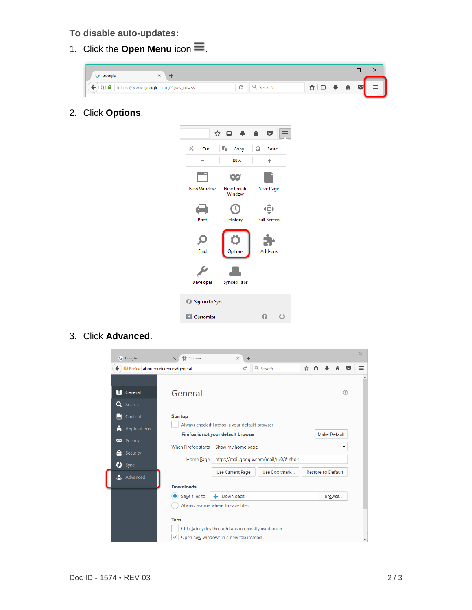#### **To disable auto-updates:**

1. Click the **Open Menu** icon  $\equiv$ .



2. Click **Options**.



3. Click **Advanced**.